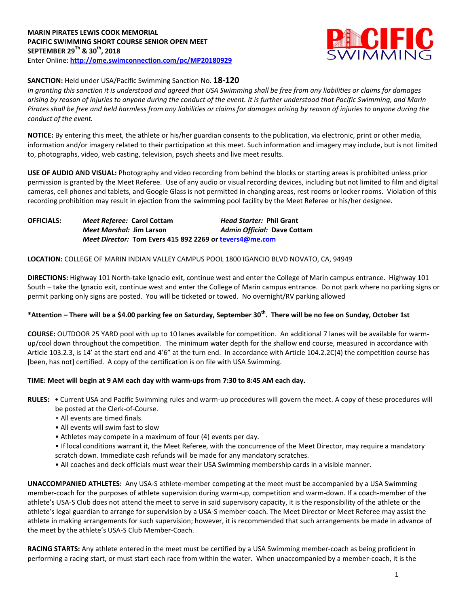

## **SANCTION:** Held under USA/Pacific Swimming Sanction No. **18-120**

*In granting this sanction it is understood and agreed that USA Swimming shall be free from any liabilities or claims for damages arising by reason of injuries to anyone during the conduct of the event. It is further understood that Pacific Swimming, and Marin Pirates shall be free and held harmless from any liabilities or claims for damages arising by reason of injuries to anyone during the conduct of the event.*

**NOTICE:** By entering this meet, the athlete or his/her guardian consents to the publication, via electronic, print or other media, information and/or imagery related to their participation at this meet. Such information and imagery may include, but is not limited to, photographs, video, web casting, television, psych sheets and live meet results.

**USE OF AUDIO AND VISUAL:** Photography and video recording from behind the blocks or starting areas is prohibited unless prior permission is granted by the Meet Referee. Use of any audio or visual recording devices, including but not limited to film and digital cameras, cell phones and tablets, and Google Glass is not permitted in changing areas, rest rooms or locker rooms. Violation of this recording prohibition may result in ejection from the swimming pool facility by the Meet Referee or his/her designee.

**OFFICIALS:** *Meet Referee:* **Carol Cottam** *Head Starter:* **Phil Grant** *Meet Marshal:* **Jim Larson** *Admin Official:* **Dave Cottam** *Meet Director:* **Tom Evers 415 892 2269 or [tevers4@me.com](mailto:tevers4@me.com)**

#### **LOCATION:** COLLEGE OF MARIN INDIAN VALLEY CAMPUS POOL 1800 IGANCIO BLVD NOVATO, CA, 94949

**DIRECTIONS:** Highway 101 North-take Ignacio exit, continue west and enter the College of Marin campus entrance. Highway 101 South – take the Ignacio exit, continue west and enter the College of Marin campus entrance. Do not park where no parking signs or permit parking only signs are posted. You will be ticketed or towed. No overnight/RV parking allowed

# **\*Attention – There will be a \$4.00 parking fee on Saturday, September 30th. There will be no fee on Sunday, October 1st**

**COURSE:** OUTDOOR 25 YARD pool with up to 10 lanes available for competition. An additional 7 lanes will be available for warmup/cool down throughout the competition. The minimum water depth for the shallow end course, measured in accordance with Article 103.2.3, is 14' at the start end and 4'6" at the turn end. In accordance with Article 104.2.2C(4) the competition course has [been, has not] certified. A copy of the certification is on file with USA Swimming.

## **TIME: Meet will begin at 9 AM each day with warm-ups from 7:30 to 8:45 AM each day.**

- **RULES:** Current USA and Pacific Swimming rules and warm-up procedures will govern the meet. A copy of these procedures will be posted at the Clerk-of-Course.
	- All events are timed finals.
	- All events will swim fast to slow
	- Athletes may compete in a maximum of four (4) events per day.
	- If local conditions warrant it, the Meet Referee, with the concurrence of the Meet Director, may require a mandatory
	- scratch down. Immediate cash refunds will be made for any mandatory scratches.
	- All coaches and deck officials must wear their USA Swimming membership cards in a visible manner.

**UNACCOMPANIED ATHLETES:** Any USA-S athlete-member competing at the meet must be accompanied by a USA Swimming member-coach for the purposes of athlete supervision during warm-up, competition and warm-down. If a coach-member of the athlete's USA-S Club does not attend the meet to serve in said supervisory capacity, it is the responsibility of the athlete or the athlete's legal guardian to arrange for supervision by a USA-S member-coach. The Meet Director or Meet Referee may assist the athlete in making arrangements for such supervision; however, it is recommended that such arrangements be made in advance of the meet by the athlete's USA-S Club Member-Coach.

**RACING STARTS:** Any athlete entered in the meet must be certified by a USA Swimming member-coach as being proficient in performing a racing start, or must start each race from within the water. When unaccompanied by a member-coach, it is the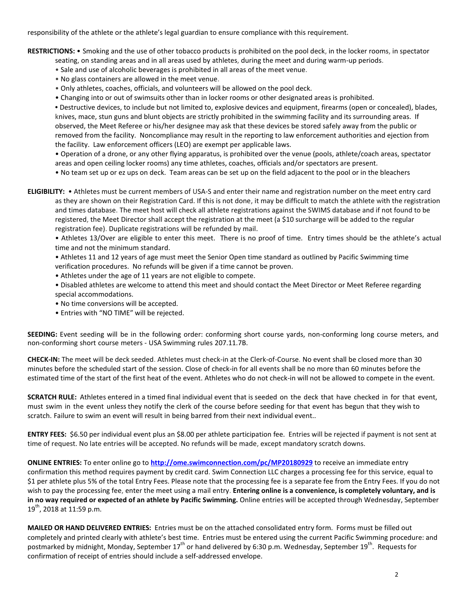responsibility of the athlete or the athlete's legal guardian to ensure compliance with this requirement.

**RESTRICTIONS:** • Smoking and the use of other tobacco products is prohibited on the pool deck, in the locker rooms, in spectator

- seating, on standing areas and in all areas used by athletes, during the meet and during warm-up periods.
- Sale and use of alcoholic beverages is prohibited in all areas of the meet venue.
- No glass containers are allowed in the meet venue.
- Only athletes, coaches, officials, and volunteers will be allowed on the pool deck.
- Changing into or out of swimsuits other than in locker rooms or other designated areas is prohibited.

**•** Destructive devices, to include but not limited to, explosive devices and equipment, firearms (open or concealed), blades, knives, mace, stun guns and blunt objects are strictly prohibited in the swimming facility and its surrounding areas. If observed, the Meet Referee or his/her designee may ask that these devices be stored safely away from the public or removed from the facility. Noncompliance may result in the reporting to law enforcement authorities and ejection from the facility. Law enforcement officers (LEO) are exempt per applicable laws.

• Operation of a drone, or any other flying apparatus, is prohibited over the venue (pools, athlete/coach areas, spectator areas and open ceiling locker rooms) any time athletes, coaches, officials and/or spectators are present.

• No team set up or ez ups on deck. Team areas can be set up on the field adjacent to the pool or in the bleachers

**ELIGIBILITY:** • Athletes must be current members of USA-S and enter their name and registration number on the meet entry card as they are shown on their Registration Card. If this is not done, it may be difficult to match the athlete with the registration and times database. The meet host will check all athlete registrations against the SWIMS database and if not found to be registered, the Meet Director shall accept the registration at the meet (a \$10 surcharge will be added to the regular registration fee). Duplicate registrations will be refunded by mail.

• Athletes 13/Over are eligible to enter this meet. There is no proof of time. Entry times should be the athlete's actual time and not the minimum standard.

• Athletes 11 and 12 years of age must meet the Senior Open time standard as outlined by Pacific Swimming time verification procedures. No refunds will be given if a time cannot be proven.

- Athletes under the age of 11 years are not eligible to compete.
- Disabled athletes are welcome to attend this meet and should contact the Meet Director or Meet Referee regarding special accommodations.
- No time conversions will be accepted.
- Entries with "NO TIME" will be rejected.

**SEEDING:** Event seeding will be in the following order: conforming short course yards, non-conforming long course meters, and non-conforming short course meters - USA Swimming rules 207.11.7B.

**CHECK-IN:** The meet will be deck seeded. Athletes must check-in at the Clerk-of-Course. No event shall be closed more than 30 minutes before the scheduled start of the session. Close of check‐in for all events shall be no more than 60 minutes before the estimated time of the start of the first heat of the event. Athletes who do not check-in will not be allowed to compete in the event.

**SCRATCH RULE:** Athletes entered in a timed final individual event that is seeded on the deck that have checked in for that event, must swim in the event unless they notify the clerk of the course before seeding for that event has begun that they wish to scratch. Failure to swim an event will result in being barred from their next individual event..

**ENTRY FEES:** \$6.50 per individual event plus an \$8.00 per athlete participation fee. Entries will be rejected if payment is not sent at time of request. No late entries will be accepted. No refunds will be made, except mandatory scratch downs.

**ONLINE ENTRIES:** To enter online go to **<http://ome.swimconnection.com/pc/MP20180929>** to receive an immediate entry confirmation this method requires payment by credit card. Swim Connection LLC charges a processing fee for this service, equal to \$1 per athlete plus 5% of the total Entry Fees. Please note that the processing fee is a separate fee from the Entry Fees. If you do not wish to pay the processing fee, enter the meet using a mail entry. **Entering online is a convenience, is completely voluntary, and is in no way required or expected of an athlete by Pacific Swimming.** Online entries will be accepted through Wednesday, September  $19^{th}$ , 2018 at 11:59 p.m.

**MAILED OR HAND DELIVERED ENTRIES:** Entries must be on the attached consolidated entry form. Forms must be filled out completely and printed clearly with athlete's best time. Entries must be entered using the current Pacific Swimming procedure: and postmarked by midnight, Monday, September 17<sup>th</sup> or hand delivered by 6:30 p.m. Wednesday, September 19<sup>th</sup>. Requests for confirmation of receipt of entries should include a self-addressed envelope.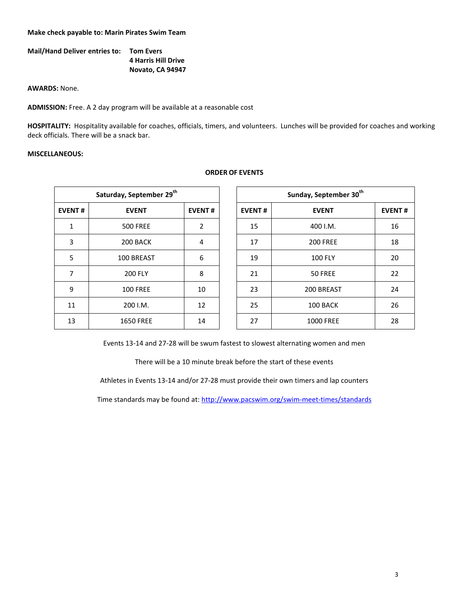#### **Make check payable to: Marin Pirates Swim Team**

| <b>Mail/Hand Deliver entries to:</b> | <b>Tom Evers</b>           |
|--------------------------------------|----------------------------|
|                                      | <b>4 Harris Hill Drive</b> |
|                                      | Novato, CA 94947           |

**AWARDS:** None.

**ADMISSION:** Free. A 2 day program will be available at a reasonable cost

**HOSPITALITY:** Hospitality available for coaches, officials, timers, and volunteers. Lunches will be provided for coaches and working deck officials. There will be a snack bar.

#### **MISCELLANEOUS:**

|               | Saturday, September 29 <sup>th</sup> |                |               | Sunday, September 30 <sup>th</sup> |
|---------------|--------------------------------------|----------------|---------------|------------------------------------|
| <b>EVENT#</b> | <b>EVENT</b>                         | <b>EVENT#</b>  | <b>EVENT#</b> | <b>EVENT</b>                       |
| $\mathbf{1}$  | <b>500 FREE</b>                      | $\overline{2}$ | 15            | 400 I.M.                           |
| 3             | 200 BACK                             | 4              | 17            | <b>200 FREE</b>                    |
| 5             | 100 BREAST                           | 6              | 19            | <b>100 FLY</b>                     |
| 7             | <b>200 FLY</b>                       | 8              | 21            | 50 FREE                            |
| 9             | <b>100 FREE</b>                      | 10             | 23            | 200 BREAST                         |
| 11            | 200 I.M.                             | 12             | 25            | 100 BACK                           |
| 13            | <b>1650 FREE</b>                     | 14             | 27            | <b>1000 FREE</b>                   |

### **ORDER OF EVENTS**

|                | Saturday, September 29 <sup>th</sup> |               | Sunday, September 30 <sup>th</sup> |                  |  |  |
|----------------|--------------------------------------|---------------|------------------------------------|------------------|--|--|
| <b>EVENT#</b>  | <b>EVENT</b>                         | <b>EVENT#</b> | <b>EVENT#</b>                      | <b>EVENT</b>     |  |  |
| $\mathbf{1}$   | <b>500 FREE</b>                      | 2             | 15                                 | 400 I.M.         |  |  |
| 3              | 200 BACK                             | 4             | 17                                 | <b>200 FREE</b>  |  |  |
| 5              | 100 BREAST                           | 6             | 19                                 | <b>100 FLY</b>   |  |  |
| $\overline{7}$ | <b>200 FLY</b>                       | 8             | 21                                 | 50 FREE          |  |  |
| 9              | <b>100 FREE</b>                      | 10            | 23                                 | 200 BREAST       |  |  |
| 11             | 200 I.M.                             | 12            | 25                                 | 100 BACK         |  |  |
| 13             | <b>1650 FREE</b>                     | 14            | 27                                 | <b>1000 FREE</b> |  |  |

Events 13-14 and 27-28 will be swum fastest to slowest alternating women and men

There will be a 10 minute break before the start of these events

Athletes in Events 13-14 and/or 27-28 must provide their own timers and lap counters

Time standards may be found at:<http://www.pacswim.org/swim-meet-times/standards>